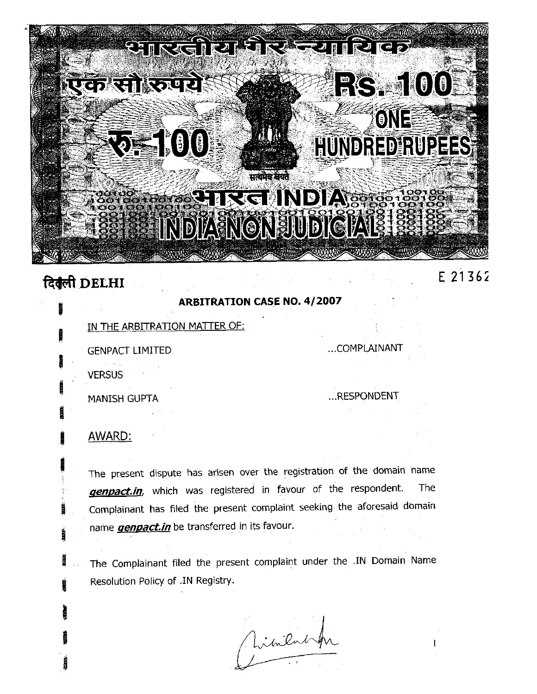

# दिबुली DELHI

### **ARBITRATION CASE NO. 4/2007**

IN THE ARBITRATION MATTER OF:

**GENPACT LIMITED** 

...COMPLAINANT

**VERSUS** 

MANISH GUPTA

...RESPONDENT

## AWARD:

The present dispute has arisen over the registration of the domain name genpact.in, which was registered in favour of the respondent. The Complainant has filed the present complaint seeking the aforesaid domain name *genpact.in* be transferred in its favour.

The Complainant filed the present complaint under the .IN Domain Name Resolution Policy of .IN Registry.

Jimentif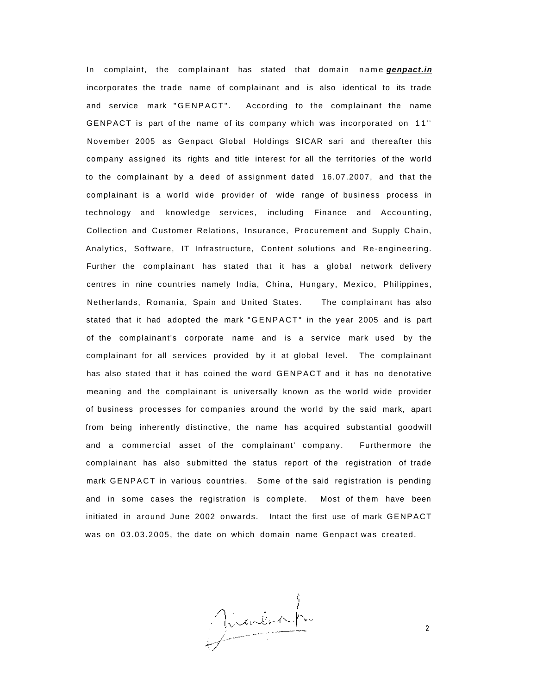In complaint, the complainant has stated that domain name **genpact.in** incorporates the trade name of complainant and is also identical to its trade and service mark "GENPACT". According to the complainant the name GENPACT is part of the name of its company which was incorporated on  $11<sup>th</sup>$ November 2005 as Genpact Global Holdings SICAR sari and thereafter this company assigned its rights and title interest for all the territories of the world to the complainant by a deed of assignment dated 16.07.2007, and that the complainant is a world wide provider of wide range of business process in technology and knowledge services, including Finance and Accounting, Collection and Customer Relations, Insurance, Procurement and Supply Chain, Analytics, Software, IT Infrastructure, Content solutions and Re-engineering. Further the complainant has stated that it has a global network delivery centres in nine countries namely India, China, Hungary, Mexico, Philippines, Netherlands, Romania, Spain and United States. The complainant has also stated that it had adopted the mark "GENPACT " in the year 2005 and is part of the complainant's corporate name and is a service mark used by the complainant for all services provided by it at global level. The complainant has also stated that it has coined the word GENPACT and it has no denotative meaning and the complainant is universally known as the world wide provider of business processes for companies around the world by the said mark, apart from being inherently distinctive, the name has acquired substantial goodwill and a commercial asset of the complainant' company. Furthermore the complainant has also submitted the status report of the registration of trade mark GENPACT in various countries. Some of the said registration is pending and in some cases the registration is complete. Most of them have been initiated in around June 2002 onwards. Intact the first use of mark GENPACT was on 03.03.2005, the date on which domain name Genpact was created.

Minish

 $\overline{2}$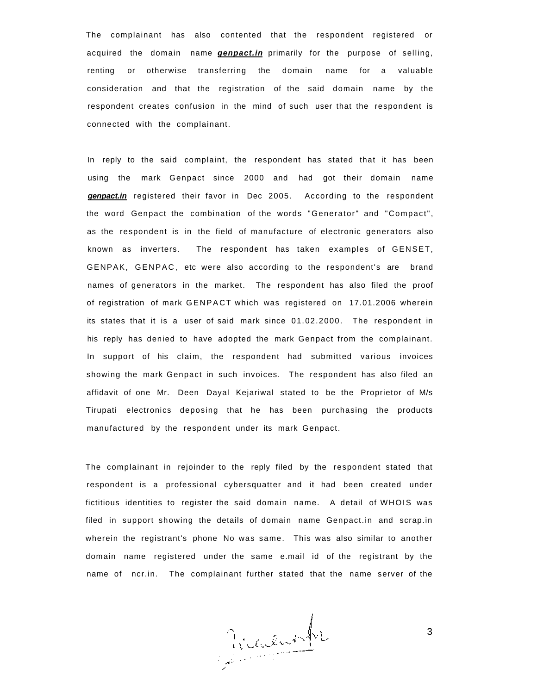The complainant has also contented that the respondent registered or acquired the domain name **genpact.in** primarily for the purpose of selling, renting or otherwise transferring the domain name for a valuable consideration and that the registration of the said domain name by the respondent creates confusion in the mind of such user that the respondent is connected with the complainant.

In reply to the said complaint, the respondent has stated that it has been using the mark Genpact since 2000 and had got their domain name **genpact.in** registered their favor in Dec 2005. According to the respondent the word Genpact the combination of the words "Generator" and "Compact", as the respondent is in the field of manufacture of electronic generators also known as inverters. The respondent has taken examples of GENSET, GENPAK, GENPAC, etc were also according to the respondent's are brand names of generators in the market. The respondent has also filed the proof of registration of mark GENPACT which was registered on 17.01.2006 wherein its states that it is a user of said mark since 01.02.2000. The respondent in his reply has denied to have adopted the mark Genpact from the complainant. In support of his claim, the respondent had submitted various invoices showing the mark Genpact in such invoices. The respondent has also filed an affidavit of one Mr. Deen Dayal Kejariwal stated to be the Proprietor of M/s Tirupati electronics deposing that he has been purchasing the products manufactured by the respondent under its mark Genpact.

The complainant in rejoinder to the reply filed by the respondent stated that respondent is a professional cybersquatter and it had been created under fictitious identities to register the said domain name. A detail of WHOIS was filed in support showing the details of domain name Genpact.in and scrap.in wherein the registrant's phone No was same. This was also similar to another domain name registered under the same e.mail id of the registrant by the name of ncr.in. The complainant further stated that the name server of the

Victoire

3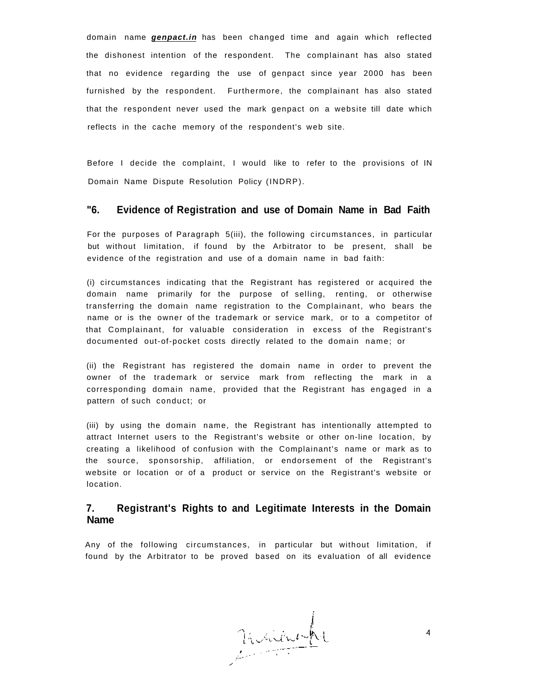domain name **genpact.in** has been changed time and again which reflected the dishonest intention of the respondent. The complainant has also stated that no evidence regarding the use of genpact since year 2000 has been furnished by the respondent. Furthermore, the complainant has also stated that the respondent never used the mark genpact on a website till date which reflects in the cache memory of the respondent's web site.

Before I decide the complaint, I would like to refer to the provisions of IN Domain Name Dispute Resolution Policy (INDRP).

#### **"6. Evidence of Registration and use of Domain Name in Bad Faith**

For the purposes of Paragraph 5(iii), the following circumstances, in particular but without limitation, if found by the Arbitrator to be present, shall be evidence of the registration and use of a domain name in bad faith:

(i) circumstances indicating that the Registrant has registered or acquired the domain name primarily for the purpose of selling, renting, or otherwise transferring the domain name registration to the Complainant, who bears the name or is the owner of the trademark or service mark, or to a competitor of that Complainant, for valuable consideration in excess of the Registrant's documented out-of-pocket costs directly related to the domain name; or

(ii) the Registrant has registered the domain name in order to prevent the owner of the trademark or service mark from reflecting the mark in a corresponding domain name, provided that the Registrant has engaged in a pattern of such conduct; or

(iii) by using the domain name, the Registrant has intentionally attempted to attract Internet users to the Registrant's website or other on-line location, by creating a likelihood of confusion with the Complainant's name or mark as to the source, sponsorship, affiliation, or endorsement of the Registrant's website or location or of a product or service on the Registrant's website or location.

#### **7. Registrant's Rights to and Legitimate Interests in the Domain Name**

Any of the following circumstances, in particular but without limitation, if found by the Arbitrator to be proved based on its evaluation of all evidence

Maine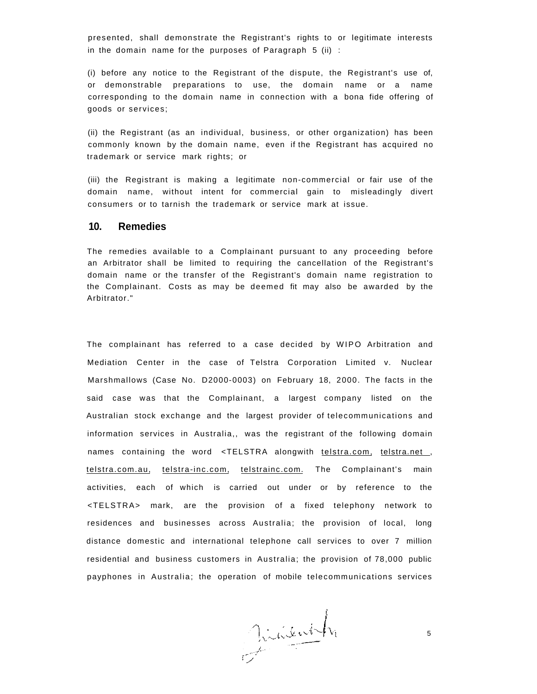presented, shall demonstrate the Registrant's rights to or legitimate interests in the domain name for the purposes of Paragraph  $5$  (ii) :

(i) before any notice to the Registrant of the dispute, the Registrant's use of, or demonstrable preparations to use, the domain name or a name corresponding to the domain name in connection with a bona fide offering of goods or services;

(ii) the Registrant (as an individual, business, or other organization) has been commonly known by the domain name, even if the Registrant has acquired no trademark or service mark rights; or

(iii) the Registrant is making a legitimate non-commercial or fair use of the domain name, without intent for commercial gain to misleadingly divert consumers or to tarnish the trademark or service mark at issue.

#### **10. Remedies**

The remedies available to a Complainant pursuant to any proceeding before an Arbitrator shall be limited to requiring the cancellation of the Registrant's domain name or the transfer of the Registrant's domain name registration to the Complainant. Costs as may be deemed fit may also be awarded by the Arbitrator."

The complainant has referred to a case decided by WIPO Arbitration and Mediation Center in the case of Telstra Corporation Limited v. Nuclear Marshmallows (Case No. D2000-0003) on February 18, 2000. The facts in the said case was that the Complainant, a largest company listed on the Australian stock exchange and the largest provider of telecommunications and information services in Australia,, was the registrant of the following domain names containing the word <TELSTRA alongwith [telstra.com,](http://telstra.com) telstra.net, [telstra.com.au,](http://telstra.com.au) [telstra-inc.com,](http://telstra-inc.com) [telstrainc.com. T](http://telstrainc.com)he Complainant's main activities, each of which is carried out under or by reference to the <TELSTRA> mark, are the provision of a fixed telephony network to residences and businesses across Australia; the provision of local, long distance domestic and international telephone call services to over 7 million residential and business customers in Australia; the provision of 78,000 public payphones in Australia; the operation of mobile telecommunications services

Pinienth

5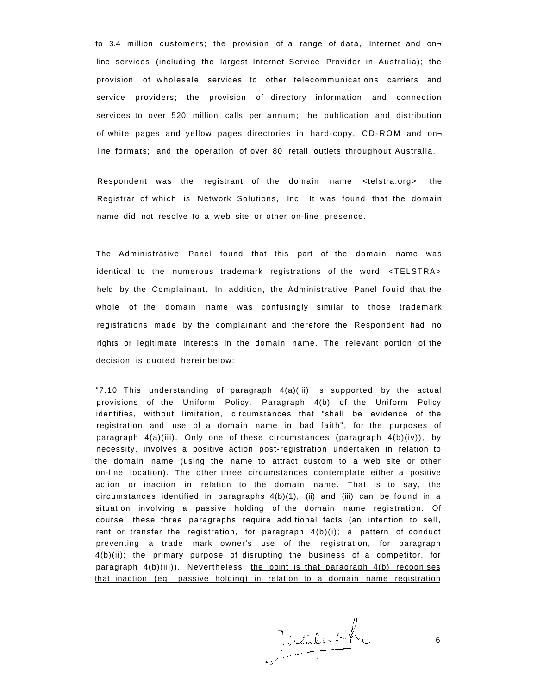to 3.4 million customers; the provision of a range of data, Internet and on line services (including the largest Internet Service Provider in Australia); the provision of wholesale services to other telecommunications carriers and service providers; the provision of directory information and connection services to over 520 million calls per annum; the publication and distribution of white pages and yellow pages directories in hard-copy, CD-ROM and online formats; and the operation of over 80 retail outlets throughout Australia.

Respondent was the registrant of the domain name <telstra.org>, the Registrar of which is Network Solutions, Inc. It was found that the domain name did not resolve to a web site or other on-line presence.

The Administrative Panel found that this part of the domain name was identical to the numerous trademark registrations of the word <TELSTRA> held by the Complainant. In addition, the Administrative Panel fouid that the whole of the domain name was confusingly similar to those trademark registrations made by the complainant and therefore the Respondent had no rights or legitimate interests in the domain name. The relevant portion of the decision is quoted hereinbelow:

"7.10 This understanding of paragraph 4(a)(iii) is supported by the actual provisions of the Uniform Policy. Paragraph 4(b) of the Uniform Policy identifies, without limitation, circumstances that "shall be evidence of the registration and use of a domain name in bad faith", for the purposes of paragraph 4(a)(iii). Only one of these circumstances (paragraph 4(b)(iv)), by necessity, involves a positive action post-registration undertaken in relation to the domain name (using the name to attract custom to a web site or other on-line location). The other three circumstances contemplate either a positive action or inaction in relation to the domain name. That is to say, the circumstances identified in paragraphs 4(b)(1), (ii) and (iii) can be found in a situation involving a passive holding of the domain name registration. Of course, these three paragraphs require additional facts (an intention to sell, rent or transfer the registration, for paragraph  $4(b)(i)$ ; a pattern of conduct preventing a trade mark owner's use of the registration, for paragraph 4(b)(ii); the primary purpose of disrupting the business of a competitor, for paragraph 4(b)(iii)). Nevertheless, the point is that paragraph 4(b) recognises that inaction (eg. passive holding) in relation to a domain name registration

Juneich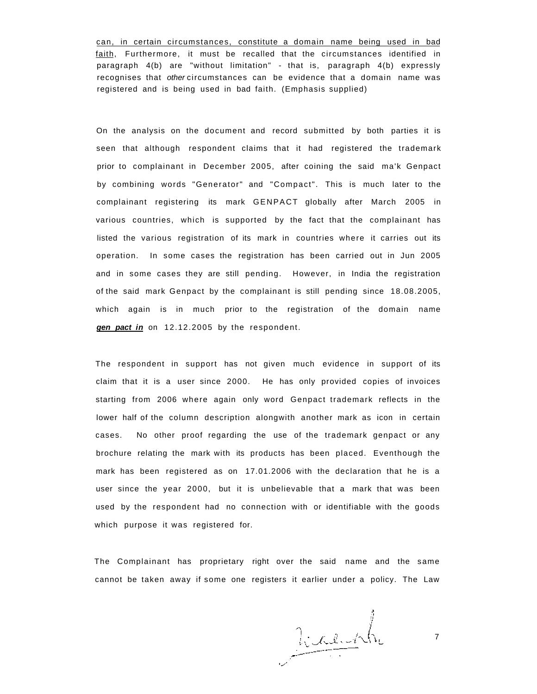can, in certain circumstances, constitute a domain name being used in bad faith, Furthermore, it must be recalled that the circumstances identified in paragraph 4(b) are "without limitation" - that is, paragraph 4(b) expressly recognises that other circumstances can be evidence that a domain name was registered and is being used in bad faith. (Emphasis supplied)

On the analysis on the document and record submitted by both parties it is seen that although respondent claims that it had registered the trademark prior to complainant in December 2005, after coining the said ma'k Genpact by combining words "Generator" and "Compact". This is much later to the complainant registering its mark GENPACT globally after March 2005 in various countries, which is supported by the fact that the complainant has listed the various registration of its mark in countries where it carries out its operation. In some cases the registration has been carried out in Jun 2005 and in some cases they are still pending. However, in India the registration of the said mark Genpact by the complainant is still pending since 18.08.2005, which again is in much prior to the registration of the domain name **gen pact in** on 12.12.2005 by the respondent.

The respondent in support has not given much evidence in support of its claim that it is a user since 2000. He has only provided copies of invoices starting from 2006 where again only word Genpact trademark reflects in the lower half of the column description alongwith another mark as icon in certain cases. No other proof regarding the use of the trademark genpact or any brochure relating the mark with its products has been placed. Eventhough the mark has been registered as on 17.01.2006 with the declaration that he is a user since the year 2000, but it is unbelievable that a mark that was been used by the respondent had no connection with or identifiable with the goods which purpose it was registered for.

The Complainant has proprietary right over the said name and the same cannot be taken away if some one registers it earlier under a policy. The Law

Riceurh

7